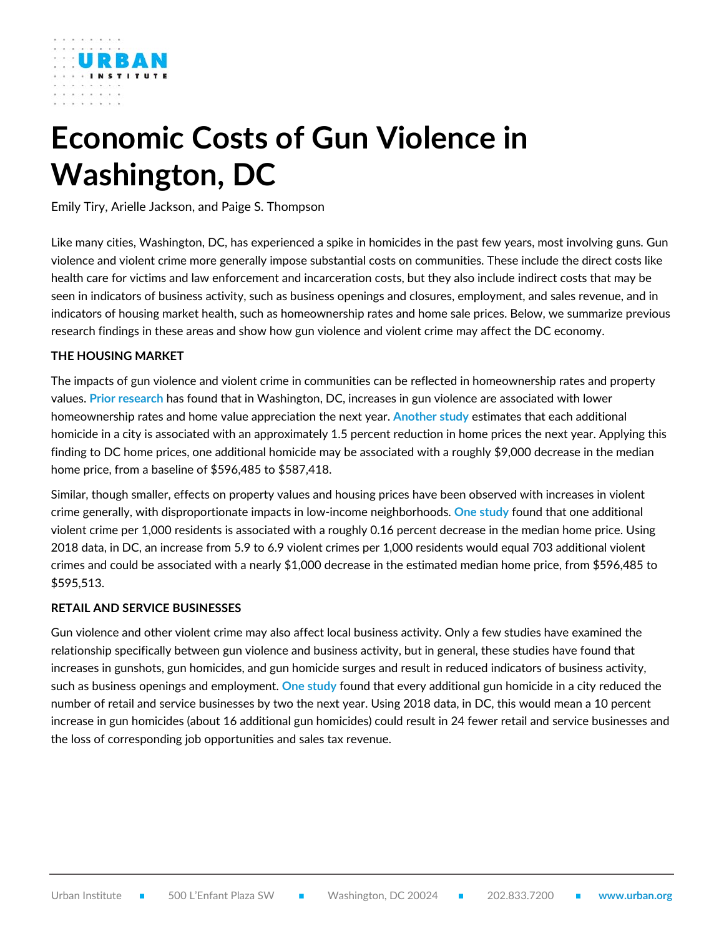

# **Economic Costs of Gun Violence in Washington, DC**

Emily Tiry, Arielle Jackson, and Paige S. Thompson

Like many cities, Washington, DC, has experienced a spike in homicides in the past few years, most involving guns. Gun violence and violent crime more generally impose substantial costs on communities. These include the direct costs like health care for victims and law enforcement and incarceration costs, but they also include indirect costs that may be seen in indicators of business activity, such as business openings and closures, employment, and sales revenue, and in indicators of housing market health, such as homeownership rates and home sale prices. Below, we summarize previous research findings in these areas and show how gun violence and violent crime may affect the DC economy.

# **THE HOUSING MARKET**

The impacts of gun violence and violent crime in communities can be reflected in homeownership rates and property values. **[Prior research](https://www.urban.org/research/publication/neighborhood-level-analysis-economic-impact-gun-violence)** has found that in Washington, DC, increases in gun violence are associated with lower homeownership rates and home value appreciation the next year. **[Another study](https://www.americanprogress.org/article/the-economic-benefits-of-reducing-violent-crime/)** estimates that each additional homicide in a city is associated with an approximately 1.5 percent reduction in home prices the next year. Applying this finding to DC home prices, one additional homicide may be associated with a roughly \$9,000 decrease in the median home price, from a baseline of \$596,485 to \$587,418.

Similar, though smaller, effects on property values and housing prices have been observed with increases in violent crime generally, with disproportionate impacts in low-income neighborhoods. **One [study](https://link.springer.com/article/10.1007/s10940-006-9013-z)** found that one additional violent crime per 1,000 residents is associated with a roughly 0.16 percent decrease in the median home price. Using 2018 data, in DC, an increase from 5.9 to 6.9 violent crimes per 1,000 residents would equal 703 additional violent crimes and could be associated with a nearly \$1,000 decrease in the estimated median home price, from \$596,485 to \$595,513.

# **RETAIL AND SERVICE BUSINESSES**

Gun violence and other violent crime may also affect local business activity. Only a few studies have examined the relationship specifically between gun violence and business activity, but in general, these studies have found that increases in gunshots, gun homicides, and gun homicide surges and result in reduced indicators of business activity, such as business openings and employment. **[One study](https://www.urban.org/research/publication/neighborhood-level-analysis-economic-impact-gun-violence)** found that every additional gun homicide in a city reduced the number of retail and service businesses by two the next year. Using 2018 data, in DC, this would mean a 10 percent increase in gun homicides (about 16 additional gun homicides) could result in 24 fewer retail and service businesses and the loss of corresponding job opportunities and sales tax revenue.